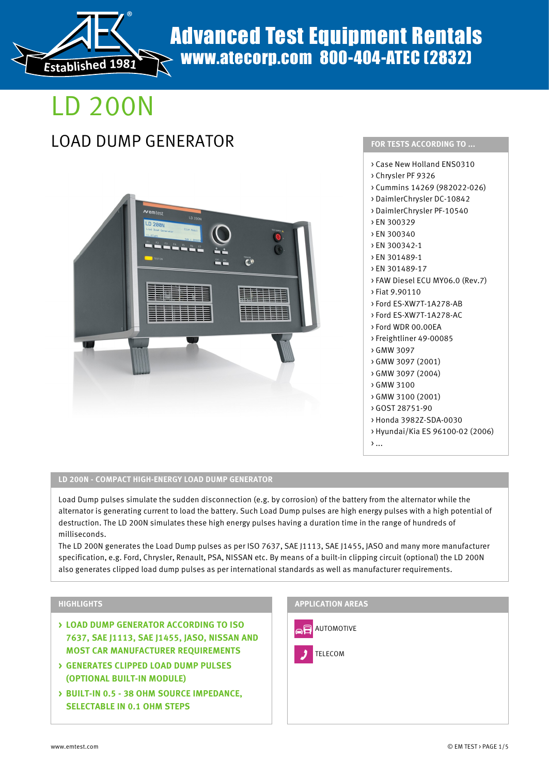

## Advanced Test Equipment Rentals www.atecorp.com 800-404-ATEC (2832)

# LD 200N

## LOAD DUMP GENERATOR **FOR TESTS ACCORDING TO ...**





#### **LD 200N - COMPACT HIGH-ENERGY LOAD DUMP GENERATOR**

Load Dump pulses simulate the sudden disconnection (e.g. by corrosion) of the battery from the alternator while the alternator is generating current to load the battery. Such Load Dump pulses are high energy pulses with a high potential of destruction. The LD 200N simulates these high energy pulses having a duration time in the range of hundreds of milliseconds.

The LD 200N generates the Load Dump pulses as per ISO 7637, SAE J1113, SAE J1455, JASO and many more manufacturer specification, e.g. Ford, Chrysler, Renault, PSA, NISSAN etc. By means of a built-in clipping circuit (optional) the LD 200N also generates clipped load dump pulses as per international standards as well as manufacturer requirements.

### **HIGHLIGHTS**

- **> LOAD DUMP GENERATOR ACCORDING TO ISO 7637, SAE J1113, SAE J1455, JASO, NISSAN AND MOST CAR MANUFACTURER REQUIREMENTS**
- **> GENERATES CLIPPED LOAD DUMP PULSES (OPTIONAL BUILT-IN MODULE)**
- **> BUILT-IN 0.5 38 OHM SOURCE IMPEDANCE, SELECTABLE IN 0.1 OHM STEPS**

### **APPLICATION AREAS**

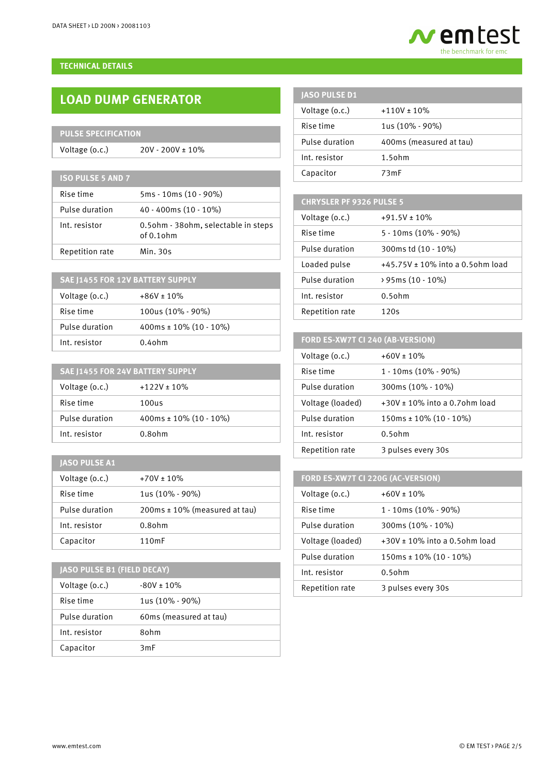#### **TECHNICAL DETAILS**

## **LOAD DUMP GENERATOR**

## **PULSE SPECIFICATION**

Voltage (o.c.) 20V - 200V ± 10%

**ISO PULSE 5 AND 7**

| Rise time       | 5ms - 10ms (10 - 90%)                               |
|-----------------|-----------------------------------------------------|
| Pulse duration  | $40 - 400$ ms $(10 - 10\%)$                         |
| Int. resistor   | 0.5ohm - 38ohm, selectable in steps<br>$of 0.1$ ohm |
| Repetition rate | Min. 30s                                            |

| SAE 11455 FOR 12V BATTERY SUPPLY |                           |  |
|----------------------------------|---------------------------|--|
| Voltage (o.c.)                   | $+86V \pm 10\%$           |  |
| Rise time                        | 100us (10% - 90%)         |  |
| Pulse duration                   | 400ms ± $10\%$ (10 - 10%) |  |
| Int. resistor                    | $0.4$ ohm                 |  |

| SAE J1455 FOR 24V BATTERY SUPPLY |                           |  |
|----------------------------------|---------------------------|--|
| Voltage (o.c.)                   | $+122V \pm 10\%$          |  |
| Rise time                        | 100us                     |  |
| Pulse duration                   | 400ms ± $10\%$ (10 - 10%) |  |
| Int. resistor                    | $0.8$ ohm                 |  |

## **JASO PULSE A1**

| Voltage (o.c.) | $+70V \pm 10\%$                    |
|----------------|------------------------------------|
| Rise time      | $1us(10\% - 90\%)$                 |
| Pulse duration | $200ms \pm 10\%$ (measured at tau) |
| Int. resistor  | $0.8$ ohm                          |
| Capacitor      | 110mF                              |

## **JASO PULSE B1 (FIELD DECAY)**

| Voltage (o.c.) | $-80V \pm 10\%$        |
|----------------|------------------------|
| Rise time      | $1us(10\% - 90\%)$     |
| Pulse duration | 60ms (measured at tau) |
| Int. resistor  | 80hm                   |
| Capacitor      | 3mF                    |

| <b>JASO PULSE D1</b> |                         |
|----------------------|-------------------------|
| Voltage (o.c.)       | $+110V \pm 10\%$        |
| Rise time            | 1us (10% - 90%)         |
| Pulse duration       | 400ms (measured at tau) |
| Int. resistor        | $1.5$ ohm               |
| Capacitor            | 73mF                    |

## **CHRYSLER PF 9326 PULSE 5**

| Voltage (o.c.)  | $+91.5V \pm 10\%$                     |
|-----------------|---------------------------------------|
| Rise time       | 5 - 10ms (10% - 90%)                  |
| Pulse duration  | 300ms td (10 - 10%)                   |
| Loaded pulse    | $+45.75V \pm 10\%$ into a 0.50hm load |
| Pulse duration  | > 95ms (10 - 10%)                     |
| Int. resistor   | $0.5$ ohm                             |
| Repetition rate | 120s                                  |

## **FORD ES-XW7T CI 240 (AB-VERSION)**

| Voltage (o.c.)   | $+60V \pm 10\%$                     |
|------------------|-------------------------------------|
| Rise time        | $1 - 10$ ms (10% - 90%)             |
| Pulse duration   | $300ms(10\% - 10\%)$                |
| Voltage (loaded) | $+30V \pm 10\%$ into a 0.70hm load  |
| Pulse duration   | $150 \text{ms} \pm 10\%$ (10 - 10%) |
| Int. resistor    | $0.5$ ohm                           |
| Repetition rate  | 3 pulses every 30s                  |

### **FORD ES-XW7T CI 220G (AC-VERSION)**

| Voltage (o.c.)   | $+60V \pm 10\%$                    |
|------------------|------------------------------------|
| Rise time        | $1 - 10$ ms (10% - 90%)            |
| Pulse duration   | $300ms(10\% - 10\%)$               |
| Voltage (loaded) | $+30V \pm 10\%$ into a 0.50hm load |
| Pulse duration   | $150ms \pm 10\% (10 - 10\%)$       |
| Int. resistor    | $0.5$ ohm                          |
| Repetition rate  | 3 pulses every 30s                 |

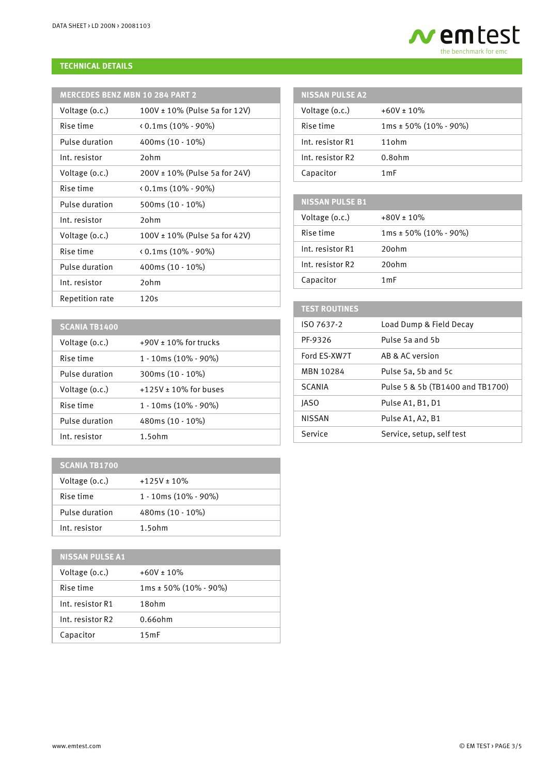

#### **TECHNICAL DETAILS**

| <b>I MERCEDES BENZ MBN 10 284 PART 2</b> |  |  |
|------------------------------------------|--|--|
|                                          |  |  |

| Voltage (o.c.)  | 100V ± 10% (Pulse 5a for 12V)      |
|-----------------|------------------------------------|
| Rise time       | $\langle 0.1$ ms (10% - 90%)       |
| Pulse duration  | 400ms $(10 - 10\%)$                |
| Int. resistor   | $2$ ohm                            |
| Voltage (o.c.)  | $200V \pm 10\%$ (Pulse 5a for 24V) |
| Rise time       | $(0.1 \text{ms } (10\% - 90\%)$    |
| Pulse duration  | 500ms (10 - 10%)                   |
| Int. resistor   | $2$ ohm                            |
| Voltage (o.c.)  | $100V \pm 10\%$ (Pulse 5a for 42V) |
| Rise time       | $(0.1 \text{ms} (10\% - 90\%)$     |
| Pulse duration  | 400ms (10 - 10%)                   |
| Int. resistor   | 20 <sub>h</sub>                    |
| Repetition rate | 120s                               |
|                 |                                    |

| <b>NISSAN PULSE A2</b> |                              |
|------------------------|------------------------------|
| Voltage (o.c.)         | $+60V \pm 10\%$              |
| Rise time              | $1ms \pm 50\% (10\% - 90\%)$ |
| Int. resistor R1       | $11$ ohm                     |
| Int. resistor R2       | $0.8$ ohm                    |
| Capacitor              | 1 m F                        |

| <b>NISSAN PULSE B1</b> |                              |
|------------------------|------------------------------|
| Voltage (o.c.)         | $+80V \pm 10\%$              |
| Rise time              | $1ms \pm 50\% (10\% - 90\%)$ |
| Int. resistor R1       | 20ohm                        |
| Int. resistor R2       | 20ohm                        |
| Capacitor              | 1 mF                         |

| <b>TEST ROUTINES</b> |                                  |
|----------------------|----------------------------------|
| ISO 7637-2           | Load Dump & Field Decay          |
| PF-9326              | Pulse 5a and 5b                  |
| Ford ES-XW7T         | AB & AC version                  |
| MBN 10284            | Pulse 5a, 5b and 5c              |
| <b>SCANIA</b>        | Pulse 5 & 5b (TB1400 and TB1700) |
| <b>IASO</b>          | Pulse A1, B1, D1                 |
| <b>NISSAN</b>        | Pulse A1, A2, B1                 |
| Service              | Service, setup, self test        |
|                      |                                  |

|  |  | SCANIA TB1400 |  |
|--|--|---------------|--|
|  |  |               |  |

| <b>SCANIA TB1400</b> |                            |
|----------------------|----------------------------|
| Voltage (o.c.)       | $+90V \pm 10\%$ for trucks |
| Rise time            | 1 - 10ms (10% - 90%)       |
| Pulse duration       | 300ms (10 - 10%)           |
| Voltage (o.c.)       | $+125V \pm 10\%$ for buses |
| Rise time            | 1 - 10ms (10% - 90%)       |
| Pulse duration       | 480ms (10 - 10%)           |
| Int. resistor        | $1.5$ ohm                  |

| <b>SCANIA TB1700</b> |                         |
|----------------------|-------------------------|
| Voltage (o.c.)       | $+125V \pm 10\%$        |
| Rise time            | $1 - 10ms(10\% - 90\%)$ |
| Pulse duration       | 480ms (10 - 10%)        |
| Int. resistor        | $1.5$ ohm               |

## **NISSAN PULSE A1** Voltage  $(0.c.)$  +60V ± 10% Rise time 1ms ± 50% (10% - 90%) Int. resistor R1 18ohm Int. resistor R2 0.66ohm Capacitor 15mF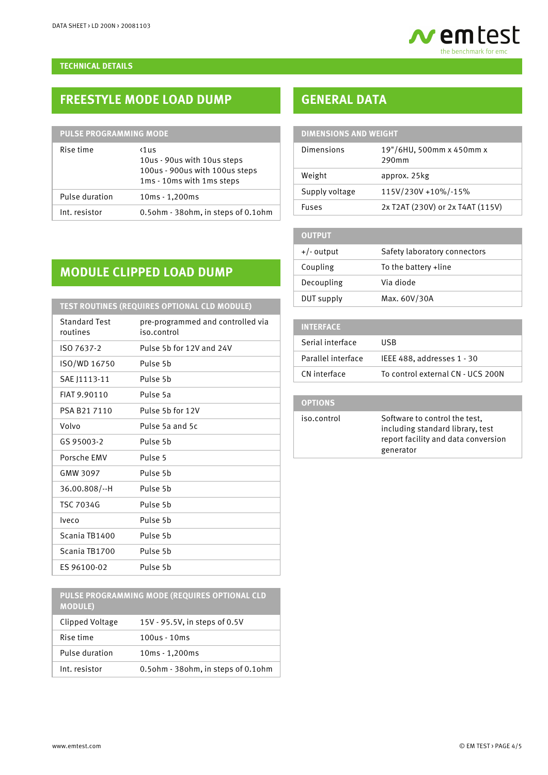

#### **TECHNICAL DETAILS**

## **FREESTYLE MODE LOAD DUMP**

| <b>PULSE PROGRAMMING MODE</b> |                                                                                                             |  |
|-------------------------------|-------------------------------------------------------------------------------------------------------------|--|
| Rise time                     | $\langle$ 1us<br>10us - 90us with 10us steps<br>100us - 900us with 100us steps<br>1ms - 10ms with 1ms steps |  |
| Pulse duration                | $10ms - 1,200ms$                                                                                            |  |
| Int. resistor                 | 0.5ohm - 38ohm, in steps of 0.1ohm                                                                          |  |

## **GENERAL DATA**

| <b>DIMENSIONS AND WEIGHT</b> |            |                                   |
|------------------------------|------------|-----------------------------------|
|                              | Dimensions | 19"/6HU, 500mm x 450mm x<br>290mm |
|                              | Weight     | approx. 25kg                      |

Supply voltage 115V/230V +10%/-15%

Fuses 2x T2AT (230V) or 2x T4AT (115V)

+/- output Safety laboratory connectors

Coupling To the battery +line

Decoupling Via diode DUT supply Max. 60V/30A

## **MODULE CLIPPED LOAD DUMP**

| TEST ROUTINES (REQUIRES OPTIONAL CLD MODULE) |                                                  |  |
|----------------------------------------------|--------------------------------------------------|--|
| <b>Standard Test</b><br>routines             | pre-programmed and controlled via<br>iso.control |  |
| ISO 7637-2                                   | Pulse 5b for 12V and 24V                         |  |
| ISO/WD 16750                                 | Pulse 5b                                         |  |
| SAE J1113-11                                 | Pulse 5h                                         |  |
| FIAT 9.90110                                 | Pulse 5a                                         |  |
| PSA B21 7110                                 | Pulse 5b for 12V                                 |  |
| Volvo                                        | Pulse 5a and 5c                                  |  |
| GS 95003-2                                   | Pulse 5h                                         |  |
| Porsche FMV                                  | Pulse <sub>5</sub>                               |  |
| GMW 3097                                     | Pulse 5b                                         |  |
| $36.00.808/-H$                               | Pulse 5b                                         |  |
| <b>TSC 7034G</b>                             | Pulse 5b                                         |  |
| lveco                                        | Pulse 5b                                         |  |
| Scania TB1400                                | Pulse 5h                                         |  |
| Scania TB1700                                | Pulse 5h                                         |  |
| ES 96100-02                                  | Pulse 5b                                         |  |

**PULSE PROGRAMMING MODE (REQUIRES OPTIONAL CLD MODULE)**

| Clipped Voltage | 15V - 95.5V, in steps of 0.5V      |
|-----------------|------------------------------------|
| Rise time       | $100us - 10ms$                     |
| Pulse duration  | 10ms - 1,200ms                     |
| Int. resistor   | 0.5ohm - 38ohm, in steps of 0.1ohm |

| <b>INTERFACE</b>   |                                   |
|--------------------|-----------------------------------|
| Serial interface   | <b>HSB</b>                        |
| Parallel interface | IEEE 488, addresses 1 - 30        |
| CN interface       | To control external CN - UCS 200N |

## **OPTIONS**

**OUTPUT**

iso.control Software to control the test, including standard library, test report facility and data conversion generator